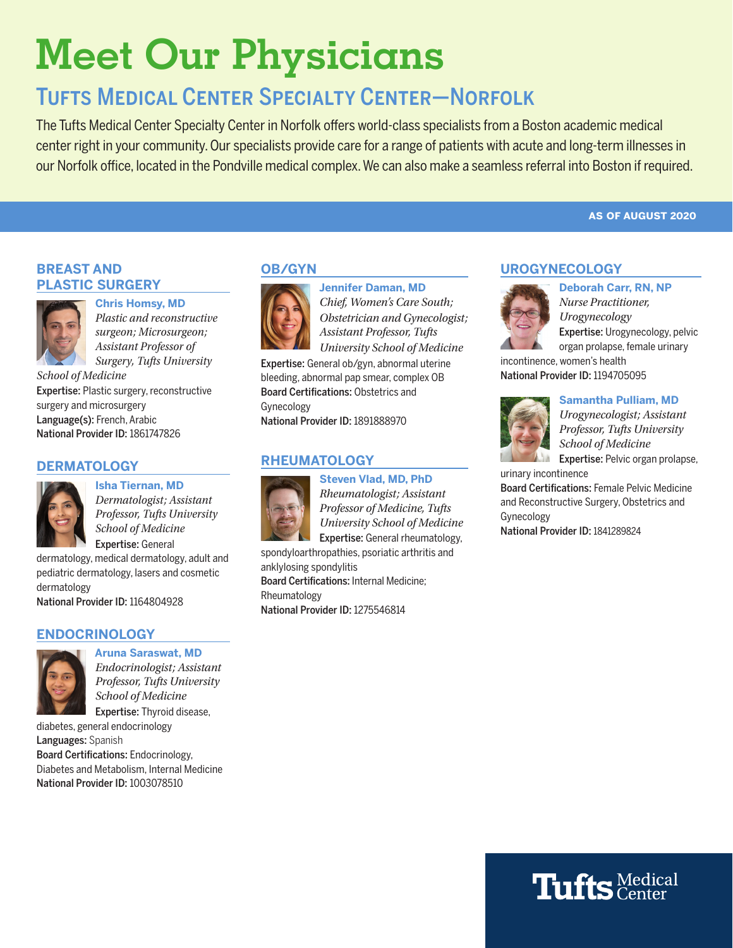# **Meet Our Physicians**

## Tufts Medical Center Specialty Center—Norfolk

The Tufts Medical Center Specialty Center in Norfolk offers world-class specialists from a Boston academic medical center right in your community. Our specialists provide care for a range of patients with acute and long-term illnesses in our Norfolk office, located in the Pondville medical complex. We can also make a seamless referral into Boston if required.

#### **as of august 2020**

#### **BREAST AND PLASTIC SURGERY**



**Chris Homsy, MD** *Plastic and reconstructive surgeon; Microsurgeon; Assistant Professor of Surgery, Tufts University* 

*School of Medicine*

Expertise: Plastic surgery, reconstructive surgery and microsurgery Language(s): French, Arabic National Provider ID: 1861747826

#### **DERMATOLOGY**



**Isha Tiernan, MD** *Dermatologist; Assistant Professor, Tufts University School of Medicine* Expertise: General

dermatology, medical dermatology, adult and pediatric dermatology, lasers and cosmetic dermatology

National Provider ID: 1164804928

#### **ENDOCRINOLOGY**



**Aruna Saraswat, MD** *Endocrinologist; Assistant Professor, Tufts University School of Medicine* Expertise: Thyroid disease,

diabetes, general endocrinology Languages: Spanish Board Certifications: Endocrinology, Diabetes and Metabolism, Internal Medicine National Provider ID: 1003078510

#### **OB/GYN**



**Jennifer Daman, MD** *Chief, Women's Care South; Obstetrician and Gynecologist; Assistant Professor, Tufts University School of Medicine*

Expertise: General ob/gyn, abnormal uterine bleeding, abnormal pap smear, complex OB Board Certifications: Obstetrics and Gynecology

National Provider ID: 1891888970

#### **RHEUMATOLOGY**



**Steven Vlad, MD, PhD** *Rheumatologist; Assistant Professor of Medicine, Tufts University School of Medicine* Expertise: General rheumatology,

spondyloarthropathies, psoriatic arthritis and anklylosing spondylitis Board Certifications: Internal Medicine; Rheumatology National Provider ID: 1275546814

#### **UROGYNECOLOGY**



**Deborah Carr, RN, NP** *Nurse Practitioner, Urogynecology* Expertise: Urogynecology, pelvic organ prolapse, female urinary

incontinence, women's health National Provider ID: 1194705095



#### **Samantha Pulliam, MD**

*Urogynecologist; Assistant Professor, Tufts University School of Medicine*

Expertise: Pelvic organ prolapse,

urinary incontinence

Board Certifications: Female Pelvic Medicine and Reconstructive Surgery, Obstetrics and Gynecology

National Provider ID: 1841289824

## **Tufts** Medical